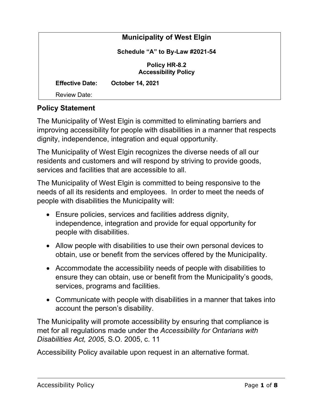|                                                     | <b>Municipality of West Elgin</b> |
|-----------------------------------------------------|-----------------------------------|
|                                                     | Schedule "A" to By-Law #2021-54   |
| <b>Policy HR-8.2</b><br><b>Accessibility Policy</b> |                                   |
| <b>Effective Date:</b>                              | <b>October 14, 2021</b>           |
| <b>Review Date:</b>                                 |                                   |

## **Policy Statement**

The Municipality of West Elgin is committed to eliminating barriers and improving accessibility for people with disabilities in a manner that respects dignity, independence, integration and equal opportunity.

The Municipality of West Elgin recognizes the diverse needs of all our residents and customers and will respond by striving to provide goods, services and facilities that are accessible to all.

The Municipality of West Elgin is committed to being responsive to the needs of all its residents and employees. In order to meet the needs of people with disabilities the Municipality will:

- Ensure policies, services and facilities address dignity, independence, integration and provide for equal opportunity for people with disabilities.
- Allow people with disabilities to use their own personal devices to obtain, use or benefit from the services offered by the Municipality.
- Accommodate the accessibility needs of people with disabilities to ensure they can obtain, use or benefit from the Municipality's goods, services, programs and facilities.
- Communicate with people with disabilities in a manner that takes into account the person's disability.

The Municipality will promote accessibility by ensuring that compliance is met for all regulations made under the *Accessibility for Ontarians with Disabilities Act, 2005*, S.O. 2005, c. 11

Accessibility Policy available upon request in an alternative format.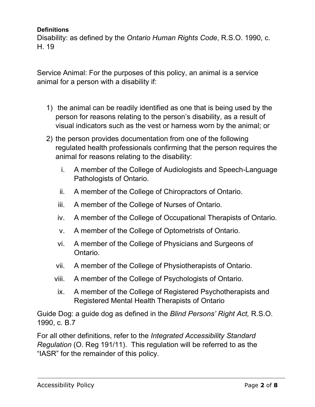#### **Definitions**

Disability: as defined by the *Ontario Human Rights Code*, R.S.O. 1990, c. H. 19

Service Animal: For the purposes of this policy, an animal is a service animal for a person with a disability if:

- 1) the animal can be readily identified as one that is being used by the person for reasons relating to the person's disability, as a result of visual indicators such as the vest or harness worn by the animal; or
- 2) the person provides documentation from one of the following regulated health professionals confirming that the person requires the animal for reasons relating to the disability:
	- i. A member of the College of Audiologists and Speech-Language Pathologists of Ontario.
	- ii. A member of the College of Chiropractors of Ontario.
	- iii. A member of the College of Nurses of Ontario.
	- iv. A member of the College of Occupational Therapists of Ontario.
	- v. A member of the College of Optometrists of Ontario.
	- vi. A member of the College of Physicians and Surgeons of Ontario.
	- vii. A member of the College of Physiotherapists of Ontario.
	- viii. A member of the College of Psychologists of Ontario.
	- ix. A member of the College of Registered Psychotherapists and Registered Mental Health Therapists of Ontario

Guide Dog: a guide dog as defined in the *Blind Persons' Right Act,* R.S.O. 1990, c. B.7

For all other definitions, refer to the *Integrated Accessibility Standard Regulation* (O. Reg 191/11). This regulation will be referred to as the "IASR" for the remainder of this policy.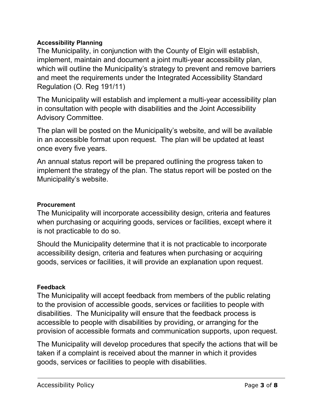## **Accessibility Planning**

The Municipality, in conjunction with the County of Elgin will establish, implement, maintain and document a joint multi-year accessibility plan, which will outline the Municipality's strategy to prevent and remove barriers and meet the requirements under the Integrated Accessibility Standard Regulation (O. Reg 191/11)

The Municipality will establish and implement a multi-year accessibility plan in consultation with people with disabilities and the Joint Accessibility Advisory Committee.

The plan will be posted on the Municipality's website, and will be available in an accessible format upon request. The plan will be updated at least once every five years.

An annual status report will be prepared outlining the progress taken to implement the strategy of the plan. The status report will be posted on the Municipality's website.

### **Procurement**

The Municipality will incorporate accessibility design, criteria and features when purchasing or acquiring goods, services or facilities, except where it is not practicable to do so.

Should the Municipality determine that it is not practicable to incorporate accessibility design, criteria and features when purchasing or acquiring goods, services or facilities, it will provide an explanation upon request.

### **Feedback**

The Municipality will accept feedback from members of the public relating to the provision of accessible goods, services or facilities to people with disabilities. The Municipality will ensure that the feedback process is accessible to people with disabilities by providing, or arranging for the provision of accessible formats and communication supports, upon request.

The Municipality will develop procedures that specify the actions that will be taken if a complaint is received about the manner in which it provides goods, services or facilities to people with disabilities.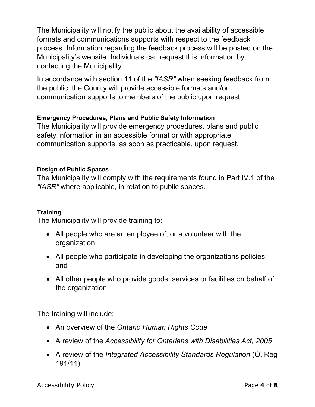The Municipality will notify the public about the availability of accessible formats and communications supports with respect to the feedback process. Information regarding the feedback process will be posted on the Municipality's website. Individuals can request this information by contacting the Municipality.

In accordance with section 11 of the *"IASR"* when seeking feedback from the public, the County will provide accessible formats and/or communication supports to members of the public upon request.

## **Emergency Procedures, Plans and Public Safety Information**

The Municipality will provide emergency procedures, plans and public safety information in an accessible format or with appropriate communication supports, as soon as practicable, upon request.

### **Design of Public Spaces**

The Municipality will comply with the requirements found in Part IV.1 of the *"IASR"* where applicable, in relation to public spaces.

### **Training**

The Municipality will provide training to:

- All people who are an employee of, or a volunteer with the organization
- All people who participate in developing the organizations policies; and
- All other people who provide goods, services or facilities on behalf of the organization

The training will include:

- An overview of the *Ontario Human Rights Code*
- A review of the *Accessibility for Ontarians with Disabilities Act, 2005*
- A review of the *Integrated Accessibility Standards Regulation* (O. Reg 191/11)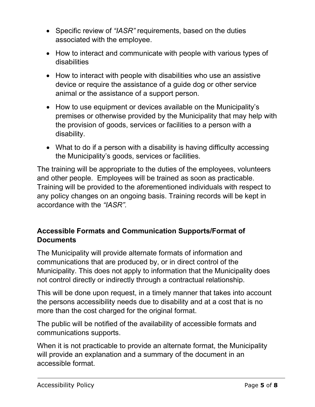- Specific review of *"IASR"* requirements, based on the duties associated with the employee.
- How to interact and communicate with people with various types of disabilities
- How to interact with people with disabilities who use an assistive device or require the assistance of a guide dog or other service animal or the assistance of a support person.
- How to use equipment or devices available on the Municipality's premises or otherwise provided by the Municipality that may help with the provision of goods, services or facilities to a person with a disability.
- What to do if a person with a disability is having difficulty accessing the Municipality's goods, services or facilities.

The training will be appropriate to the duties of the employees, volunteers and other people. Employees will be trained as soon as practicable. Training will be provided to the aforementioned individuals with respect to any policy changes on an ongoing basis. Training records will be kept in accordance with the *"IASR".* 

# **Accessible Formats and Communication Supports/Format of Documents**

The Municipality will provide alternate formats of information and communications that are produced by, or in direct control of the Municipality. This does not apply to information that the Municipality does not control directly or indirectly through a contractual relationship.

This will be done upon request, in a timely manner that takes into account the persons accessibility needs due to disability and at a cost that is no more than the cost charged for the original format.

The public will be notified of the availability of accessible formats and communications supports.

When it is not practicable to provide an alternate format, the Municipality will provide an explanation and a summary of the document in an accessible format.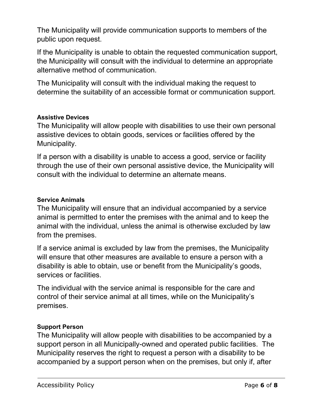The Municipality will provide communication supports to members of the public upon request.

If the Municipality is unable to obtain the requested communication support, the Municipality will consult with the individual to determine an appropriate alternative method of communication.

The Municipality will consult with the individual making the request to determine the suitability of an accessible format or communication support.

## **Assistive Devices**

The Municipality will allow people with disabilities to use their own personal assistive devices to obtain goods, services or facilities offered by the Municipality.

If a person with a disability is unable to access a good, service or facility through the use of their own personal assistive device, the Municipality will consult with the individual to determine an alternate means.

### **Service Animals**

The Municipality will ensure that an individual accompanied by a service animal is permitted to enter the premises with the animal and to keep the animal with the individual, unless the animal is otherwise excluded by law from the premises.

If a service animal is excluded by law from the premises, the Municipality will ensure that other measures are available to ensure a person with a disability is able to obtain, use or benefit from the Municipality's goods, services or facilities.

The individual with the service animal is responsible for the care and control of their service animal at all times, while on the Municipality's premises.

### **Support Person**

The Municipality will allow people with disabilities to be accompanied by a support person in all Municipally-owned and operated public facilities. The Municipality reserves the right to request a person with a disability to be accompanied by a support person when on the premises, but only if, after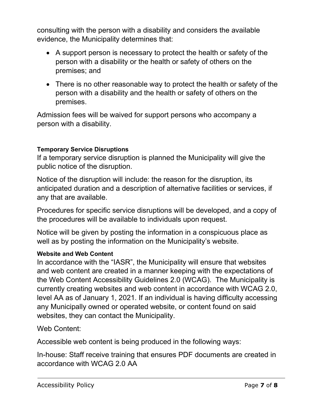consulting with the person with a disability and considers the available evidence, the Municipality determines that:

- A support person is necessary to protect the health or safety of the person with a disability or the health or safety of others on the premises; and
- There is no other reasonable way to protect the health or safety of the person with a disability and the health or safety of others on the premises.

Admission fees will be waived for support persons who accompany a person with a disability.

## **Temporary Service Disruptions**

If a temporary service disruption is planned the Municipality will give the public notice of the disruption.

Notice of the disruption will include: the reason for the disruption, its anticipated duration and a description of alternative facilities or services, if any that are available.

Procedures for specific service disruptions will be developed, and a copy of the procedures will be available to individuals upon request.

Notice will be given by posting the information in a conspicuous place as well as by posting the information on the Municipality's website.

#### **Website and Web Content**

In accordance with the "IASR", the Municipality will ensure that websites and web content are created in a manner keeping with the expectations of the Web Content Accessibility Guidelines 2.0 (WCAG). The Municipality is currently creating websites and web content in accordance with WCAG 2.0, level AA as of January 1, 2021. If an individual is having difficulty accessing any Municipally owned or operated website, or content found on said websites, they can contact the Municipality.

Web Content:

Accessible web content is being produced in the following ways:

In-house: Staff receive training that ensures PDF documents are created in accordance with WCAG 2.0 AA